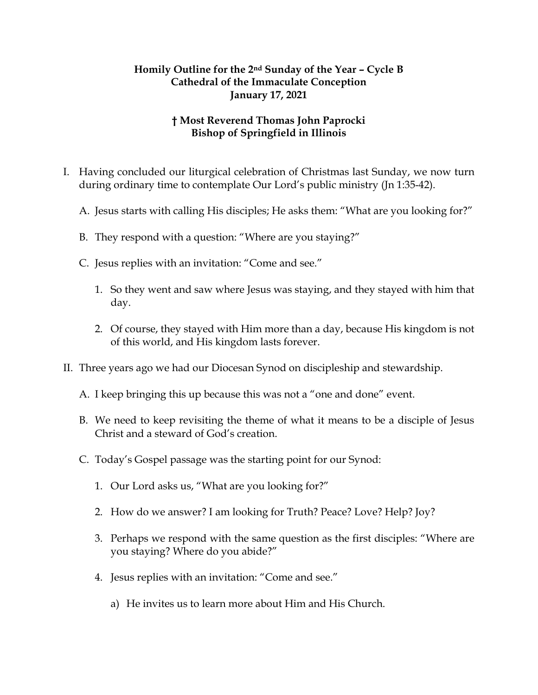## **Homily Outline for the 2nd Sunday of the Year – Cycle B Cathedral of the Immaculate Conception January 17, 2021**

## **† Most Reverend Thomas John Paprocki Bishop of Springfield in Illinois**

- I. Having concluded our liturgical celebration of Christmas last Sunday, we now turn during ordinary time to contemplate Our Lord's public ministry (Jn 1:35-42).
	- A. Jesus starts with calling His disciples; He asks them: "What are you looking for?"
	- B. They respond with a question: "Where are you staying?"
	- C. Jesus replies with an invitation: "Come and see."
		- 1. So they went and saw where Jesus was staying, and they stayed with him that day.
		- 2. Of course, they stayed with Him more than a day, because His kingdom is not of this world, and His kingdom lasts forever.
- II. Three years ago we had our Diocesan Synod on discipleship and stewardship.
	- A. I keep bringing this up because this was not a "one and done" event.
	- B. We need to keep revisiting the theme of what it means to be a disciple of Jesus Christ and a steward of God's creation.
	- C. Today's Gospel passage was the starting point for our Synod:
		- 1. Our Lord asks us, "What are you looking for?"
		- 2. How do we answer? I am looking for Truth? Peace? Love? Help? Joy?
		- 3. Perhaps we respond with the same question as the first disciples: "Where are you staying? Where do you abide?"
		- 4. Jesus replies with an invitation: "Come and see."
			- a) He invites us to learn more about Him and His Church.